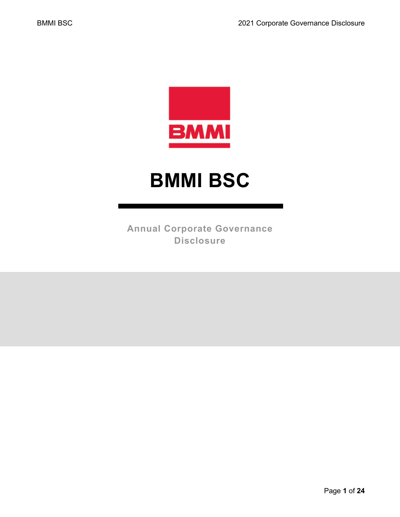

# **BMMI BSC**

**Annual Corporate Governance Disclosure**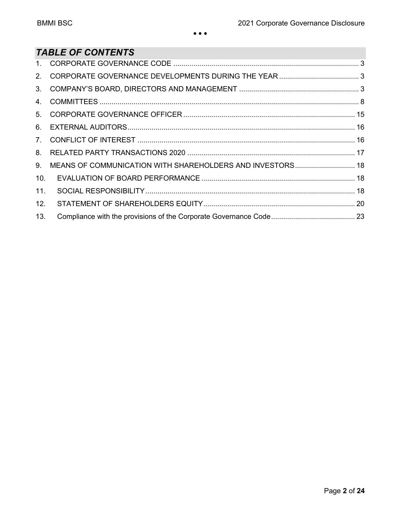# *TABLE OF CONTENTS*

| 9.  |  |
|-----|--|
| 10. |  |
| 11. |  |
| 12. |  |
| 13. |  |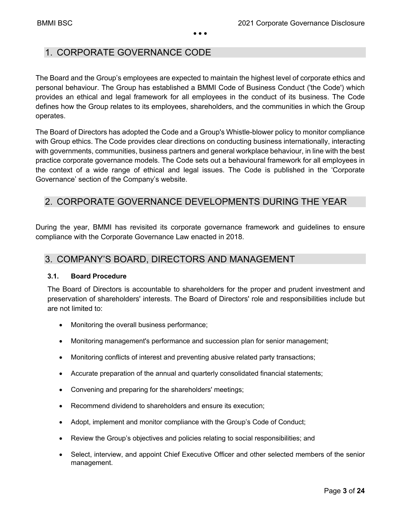### 1. CORPORATE GOVERNANCE CODE

The Board and the Group's employees are expected to maintain the highest level of corporate ethics and personal behaviour. The Group has established a BMMI Code of Business Conduct ('the Code') which provides an ethical and legal framework for all employees in the conduct of its business. The Code defines how the Group relates to its employees, shareholders, and the communities in which the Group operates.

The Board of Directors has adopted the Code and a Group's Whistle-blower policy to monitor compliance with Group ethics. The Code provides clear directions on conducting business internationally, interacting with governments, communities, business partners and general workplace behaviour, in line with the best practice corporate governance models. The Code sets out a behavioural framework for all employees in the context of a wide range of ethical and legal issues. The Code is published in the 'Corporate Governance' section of the Company's website.

# 2. CORPORATE GOVERNANCE DEVELOPMENTS DURING THE YEAR

During the year, BMMI has revisited its corporate governance framework and guidelines to ensure compliance with the Corporate Governance Law enacted in 2018.

### 3. COMPANY'S BOARD, DIRECTORS AND MANAGEMENT

#### **3.1. Board Procedure**

The Board of Directors is accountable to shareholders for the proper and prudent investment and preservation of shareholders' interests. The Board of Directors' role and responsibilities include but are not limited to:

- Monitoring the overall business performance;
- Monitoring management's performance and succession plan for senior management;
- Monitoring conflicts of interest and preventing abusive related party transactions;
- Accurate preparation of the annual and quarterly consolidated financial statements;
- Convening and preparing for the shareholders' meetings;
- Recommend dividend to shareholders and ensure its execution;
- Adopt, implement and monitor compliance with the Group's Code of Conduct;
- Review the Group's objectives and policies relating to social responsibilities; and
- Select, interview, and appoint Chief Executive Officer and other selected members of the senior management.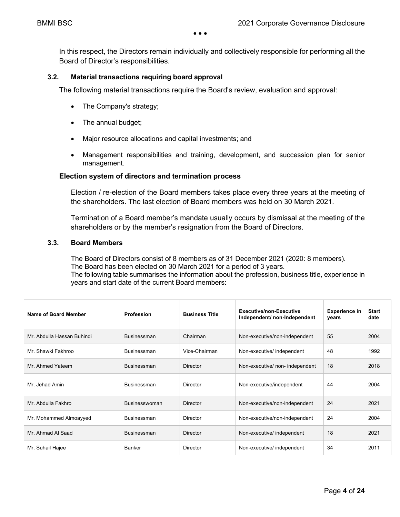In this respect, the Directors remain individually and collectively responsible for performing all the Board of Director's responsibilities.

#### **3.2. Material transactions requiring board approval**

The following material transactions require the Board's review, evaluation and approval:

- The Company's strategy;
- The annual budget;
- Major resource allocations and capital investments; and
- Management responsibilities and training, development, and succession plan for senior management.

#### **Election system of directors and termination process**

Election / re-election of the Board members takes place every three years at the meeting of the shareholders. The last election of Board members was held on 30 March 2021.

Termination of a Board member's mandate usually occurs by dismissal at the meeting of the shareholders or by the member's resignation from the Board of Directors.

#### **3.3. Board Members**

The Board of Directors consist of 8 members as of 31 December 2021 (2020: 8 members). The Board has been elected on 30 March 2021 for a period of 3 years. The following table summarises the information about the profession, business title, experience in years and start date of the current Board members:

| Name of Board Member       | <b>Profession</b>  | <b>Business Title</b> | Executive/non-Executive<br>Independent/ non-Independent | <b>Experience in</b><br>years | <b>Start</b><br>date |
|----------------------------|--------------------|-----------------------|---------------------------------------------------------|-------------------------------|----------------------|
| Mr. Abdulla Hassan Buhindi | <b>Businessman</b> | Chairman              | Non-executive/non-independent                           | 55                            | 2004                 |
| Mr. Shawki Fakhroo         | <b>Businessman</b> | Vice-Chairman         | Non-executive/ independent                              | 48                            | 1992                 |
| Mr. Ahmed Yateem           | <b>Businessman</b> | <b>Director</b>       | Non-executive/ non- independent                         | 18                            | 2018                 |
| Mr. Jehad Amin             | <b>Businessman</b> | Director              | Non-executive/independent                               | 44                            | 2004                 |
| Mr. Abdulla Fakhro         | Businesswoman      | Director              | Non-executive/non-independent                           | 24                            | 2021                 |
| Mr. Mohammed Almoayyed     | Businessman        | Director              | Non-executive/non-independent                           | 24                            | 2004                 |
| Mr. Ahmad Al Saad          | <b>Businessman</b> | <b>Director</b>       | Non-executive/ independent                              | 18                            | 2021                 |
| Mr. Suhail Hajee           | Banker             | Director              | Non-executive/ independent                              | 34                            | 2011                 |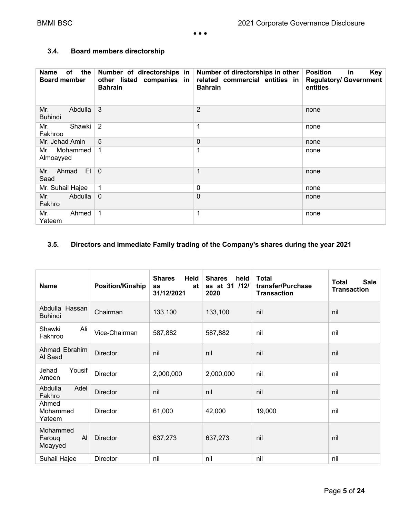#### **3.4. Board members directorship**

| of the<br>Name<br><b>Board member</b>  | other listed companies in<br><b>Bahrain</b> | Number of directorships in Number of directorships in other<br>related commercial entities in<br><b>Bahrain</b> | <b>Key</b><br><b>Position</b><br>in<br><b>Regulatory/ Government</b><br>entities |
|----------------------------------------|---------------------------------------------|-----------------------------------------------------------------------------------------------------------------|----------------------------------------------------------------------------------|
| Mr.<br>Abdulla<br><b>Buhindi</b>       | 3                                           | $\overline{2}$                                                                                                  | none                                                                             |
| Shawki<br>Mr.<br>Fakhroo               | $\overline{2}$                              | 1                                                                                                               | none                                                                             |
| Mr. Jehad Amin                         | 5                                           | 0                                                                                                               | none                                                                             |
| Mr. Mohammed<br>Almoayyed              | $\mathbf 1$                                 | 1                                                                                                               | none                                                                             |
| E <sub>1</sub><br>Ahmad<br>Mr.<br>Saad | $\overline{0}$                              | 1                                                                                                               | none                                                                             |
| Mr. Suhail Hajee                       | 1                                           | 0                                                                                                               | none                                                                             |
| Abdulla<br>Mr.<br>Fakhro               | $\mathbf{0}$                                | 0                                                                                                               | none                                                                             |
| Mr.<br>Ahmed<br>Yateem                 | $\mathbf 1$                                 | 1                                                                                                               | none                                                                             |

#### **3.5. Directors and immediate Family trading of the Company's shares during the year 2021**

| <b>Name</b>                         | <b>Position/Kinship</b> | Held<br><b>Shares</b><br>at<br>as<br>31/12/2021 | <b>Shares</b><br>held<br>as at 31 /12/<br>2020 | <b>Total</b><br>transfer/Purchase<br><b>Transaction</b> | <b>Sale</b><br><b>Total</b><br><b>Transaction</b> |
|-------------------------------------|-------------------------|-------------------------------------------------|------------------------------------------------|---------------------------------------------------------|---------------------------------------------------|
| Abdulla Hassan<br><b>Buhindi</b>    | Chairman                | 133,100                                         | 133,100                                        | nil                                                     | nil                                               |
| Ali<br>Shawki<br>Fakhroo            | Vice-Chairman           | 587,882                                         | 587,882                                        | nil                                                     | nil                                               |
| Ahmad Ebrahim<br>Al Saad            | <b>Director</b>         | nil                                             | nil                                            | nil                                                     | nil                                               |
| Yousif<br>Jehad<br>Ameen            | <b>Director</b>         | 2,000,000                                       | 2,000,000                                      | nil                                                     | nil                                               |
| Abdulla<br>Adel<br>Fakhro           | Director                | nil                                             | nil                                            | nil                                                     | nil                                               |
| Ahmed<br>Mohammed<br>Yateem         | <b>Director</b>         | 61,000                                          | 42,000                                         | 19,000                                                  | nil                                               |
| Mohammed<br>Al<br>Faroug<br>Moayyed | <b>Director</b>         | 637,273                                         | 637,273                                        | nil                                                     | nil                                               |
| Suhail Hajee                        | Director                | nil                                             | nil                                            | nil                                                     | nil                                               |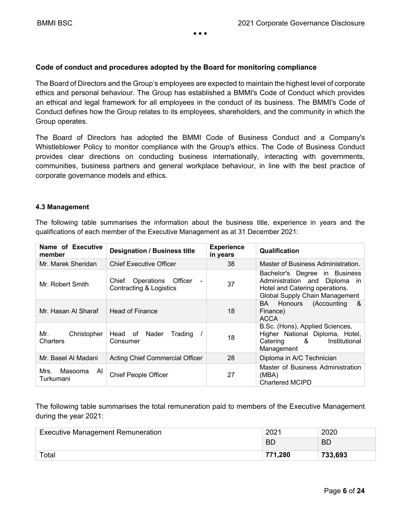#### **Code of conduct and procedures adopted by the Board for monitoring compliance**

The Board of Directors and the Group's employees are expected to maintain the highest level of corporate ethics and personal behaviour. The Group has established a BMMI's Code of Conduct which provides an ethical and legal framework for all employees in the conduct of its business. The BMMI's Code of Conduct defines how the Group relates to its employees, shareholders, and the community in which the Group operates.

The Board of Directors has adopted the BMMI Code of Business Conduct and a Company's Whistleblower Policy to monitor compliance with the Group's ethics. The Code of Business Conduct provides clear directions on conducting business internationally, interacting with governments, communities, business partners and general workplace behaviour, in line with the best practice of corporate governance models and ethics.

#### **4.3 Management**

The following table summarises the information about the business title, experience in years and the qualifications of each member of the Executive Management as at 31 December 2021:

| Name of Executive<br>member        | <b>Designation / Business title</b>                               | <b>Experience</b><br>in years | Qualification                                                                                                                         |
|------------------------------------|-------------------------------------------------------------------|-------------------------------|---------------------------------------------------------------------------------------------------------------------------------------|
| Mr. Marek Sheridan                 | <b>Chief Executive Officer</b>                                    | 38                            | Master of Business Administration.                                                                                                    |
| Mr. Robert Smith                   | Operations Officer<br>Chief<br><b>Contracting &amp; Logistics</b> | 37                            | Bachelor's Degree in Business<br>Administration and<br>Diploma in<br>Hotel and Catering operations.<br>Global Supply Chain Management |
| Mr. Hasan Al Sharaf                | <b>Head of Finance</b>                                            | 18                            | (Accounting<br>BA<br>Honours<br>&<br>Finance)<br><b>ACCA</b>                                                                          |
| Mr.<br>Christopher<br>Charters     | Head of<br>Nader<br>Trading<br>Consumer                           | 18                            | B.Sc. (Hons), Applied Sciences,<br>Higher National Diploma, Hotel,<br>Catering &<br>Institutional<br>Management                       |
| Mr. Basel Al Madani                | Acting Chief Commercial Officer                                   | 28                            | Diploma in A/C Technician                                                                                                             |
| Mrs.<br>Masooma<br>AI<br>Turkumani | <b>Chief People Officer</b>                                       | 27                            | Master of Business Administration<br>(MBA)<br><b>Chartered MCIPD</b>                                                                  |

The following table summarises the total remuneration paid to members of the Executive Management during the year 2021:

| <b>Executive Management Remuneration</b> | 2021    | 2020    |
|------------------------------------------|---------|---------|
|                                          | ВD      | BD      |
| Total                                    | 771,280 | 733,693 |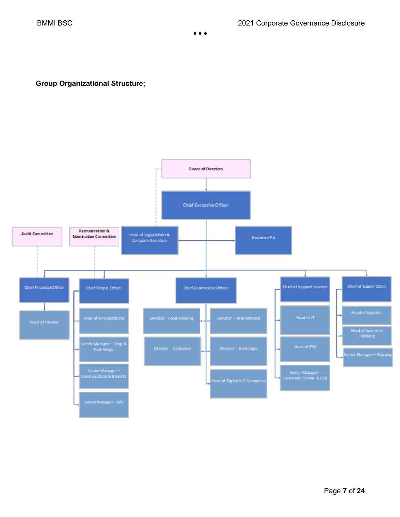**Group Organizational Structure;** 

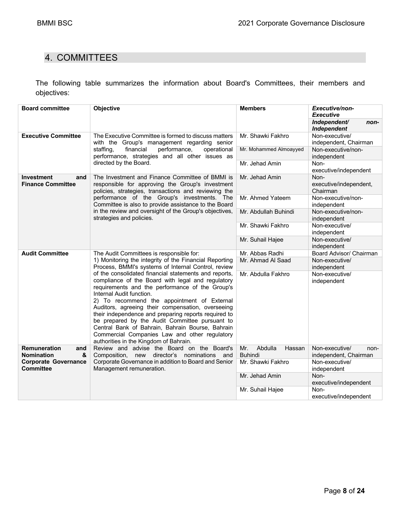# 4. COMMITTEES

The following table summarizes the information about Board's Committees, their members and objectives:

| <b>Board committee</b>                               | Objective                                                                                                                                                                                                                                                                                                                                                                                                                                                                                                                                              | <b>Members</b>                             | <b>Executive/non-</b><br><b>Executive</b>                          |  |  |
|------------------------------------------------------|--------------------------------------------------------------------------------------------------------------------------------------------------------------------------------------------------------------------------------------------------------------------------------------------------------------------------------------------------------------------------------------------------------------------------------------------------------------------------------------------------------------------------------------------------------|--------------------------------------------|--------------------------------------------------------------------|--|--|
|                                                      |                                                                                                                                                                                                                                                                                                                                                                                                                                                                                                                                                        |                                            | Independent/<br>non-<br>Independent                                |  |  |
| <b>Executive Committee</b>                           | The Executive Committee is formed to discuss matters<br>with the Group's management regarding senior                                                                                                                                                                                                                                                                                                                                                                                                                                                   | Mr. Shawki Fakhro                          | Non-executive/<br>independent, Chairman                            |  |  |
|                                                      | financial<br>performance,<br>operational<br>staffing,<br>performance, strategies and all other issues as                                                                                                                                                                                                                                                                                                                                                                                                                                               | Mr. Mohammed Almoayyed                     | Non-executive/non-<br>independent                                  |  |  |
|                                                      | directed by the Board.                                                                                                                                                                                                                                                                                                                                                                                                                                                                                                                                 | Mr. Jehad Amin                             | Non-<br>executive/independent                                      |  |  |
| <b>Investment</b><br>and<br><b>Finance Committee</b> | The Investment and Finance Committee of BMMI is<br>responsible for approving the Group's investment<br>policies, strategies, transactions and reviewing the                                                                                                                                                                                                                                                                                                                                                                                            | Mr. Jehad Amin                             | Non-<br>executive/independent,<br>Chairman                         |  |  |
|                                                      | performance of the Group's investments. The<br>Committee is also to provide assistance to the Board                                                                                                                                                                                                                                                                                                                                                                                                                                                    | Mr. Ahmed Yateem                           | Non-executive/non-<br>independent                                  |  |  |
|                                                      | in the review and oversight of the Group's objectives,<br>strategies and policies.                                                                                                                                                                                                                                                                                                                                                                                                                                                                     | Mr. Abdullah Buhindi                       | Non-executive/non-<br>independent<br>Non-executive/<br>independent |  |  |
|                                                      |                                                                                                                                                                                                                                                                                                                                                                                                                                                                                                                                                        | Mr. Shawki Fakhro                          |                                                                    |  |  |
|                                                      |                                                                                                                                                                                                                                                                                                                                                                                                                                                                                                                                                        | Mr. Suhail Hajee                           | Non-executive/<br>independent                                      |  |  |
| <b>Audit Committee</b>                               | The Audit Committees is responsible for:                                                                                                                                                                                                                                                                                                                                                                                                                                                                                                               | Mr. Abbas Radhi                            | Board Advisor/ Chairman                                            |  |  |
|                                                      | 1) Monitoring the integrity of the Financial Reporting<br>Process, BMMI's systems of Internal Control, review                                                                                                                                                                                                                                                                                                                                                                                                                                          | Mr. Ahmad Al Saad                          | Non-executive/<br>independent                                      |  |  |
|                                                      | of the consolidated financial statements and reports,<br>compliance of the Board with legal and regulatory<br>requirements and the performance of the Group's<br>Internal Audit function.<br>2) To recommend the appointment of External<br>Auditors, agreeing their compensation, overseeing<br>their independence and preparing reports required to<br>be prepared by the Audit Committee pursuant to<br>Central Bank of Bahrain, Bahrain Bourse, Bahrain<br>Commercial Companies Law and other regulatory<br>authorities in the Kingdom of Bahrain. | Mr. Abdulla Fakhro                         | Non-executive/<br>independent                                      |  |  |
| Remuneration<br>and<br>&<br><b>Nomination</b>        | Review and advise the Board on the Board's<br>Composition, new director's<br>nominations<br>and                                                                                                                                                                                                                                                                                                                                                                                                                                                        | Abdulla<br>Hassan<br>Mr.<br><b>Buhindi</b> | Non-executive/<br>non-<br>independent, Chairman                    |  |  |
| <b>Corporate Governance</b><br><b>Committee</b>      | Corporate Governance in addition to Board and Senior<br>Management remuneration.                                                                                                                                                                                                                                                                                                                                                                                                                                                                       | Mr. Shawki Fakhro                          | Non-executive/<br>independent                                      |  |  |
|                                                      |                                                                                                                                                                                                                                                                                                                                                                                                                                                                                                                                                        | Mr. Jehad Amin                             | Non-<br>executive/independent                                      |  |  |
|                                                      |                                                                                                                                                                                                                                                                                                                                                                                                                                                                                                                                                        | Mr. Suhail Hajee                           | Non-<br>executive/independent                                      |  |  |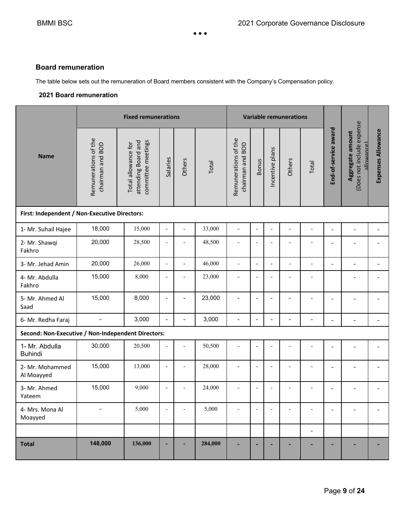#### **Board remuneration**

The table below sets out the remuneration of Board members consistent with the Company's Compensation policy.

#### **2021 Board remuneration**

|                                                    |                                          | <b>Fixed remunerations</b><br><b>Variable remunerations</b>      |                              |                          |         |                                             |                              |                          |                          |                              |                          |                                                                    |                    |
|----------------------------------------------------|------------------------------------------|------------------------------------------------------------------|------------------------------|--------------------------|---------|---------------------------------------------|------------------------------|--------------------------|--------------------------|------------------------------|--------------------------|--------------------------------------------------------------------|--------------------|
| <b>Name</b>                                        | Remunerations of the<br>chairman and BOD | attending Board and<br>committee meetings<br>Total allowance for | Salaries                     | Others                   | Total   | Remunerations of the<br>BOD<br>chairman and | <b>Bonus</b>                 | Incentive plans          | Others                   | Total                        | End-of-service award     | (Does not include expense<br>Aggregate amount<br><u>(andewolle</u> | Expenses Allowance |
| First: Independent / Non-Executive Directors:      |                                          |                                                                  |                              |                          |         |                                             |                              |                          |                          |                              |                          |                                                                    |                    |
| 1- Mr. Suhail Hajee                                | 18,000                                   | 15,000                                                           | $\qquad \qquad \blacksquare$ | $\overline{\phantom{a}}$ | 33,000  | $\overline{\phantom{a}}$                    | $\overline{\phantom{a}}$     | $\overline{a}$           |                          | $\overline{\phantom{a}}$     | $\overline{\phantom{a}}$ | $\overline{\phantom{a}}$                                           |                    |
| 2- Mr. Shawqi<br>Fakhro                            | 20,000                                   | 28,500                                                           | $\overline{\phantom{a}}$     | ٠                        | 48,500  | $\overline{\phantom{a}}$                    | $\overline{a}$               |                          |                          |                              | $\overline{\phantom{0}}$ |                                                                    |                    |
| 3- Mr. Jehad Amin                                  | 20,000                                   | 26,000                                                           | $\blacksquare$               | $\overline{\phantom{a}}$ | 46,000  | $\overline{\phantom{a}}$                    | $\overline{\phantom{a}}$     | L,                       | $\overline{\phantom{a}}$ | $\overline{\phantom{0}}$     | $\overline{\phantom{a}}$ | $\overline{a}$                                                     |                    |
| 4- Mr. Abdulla<br>Fakhro                           | 15,000                                   | 8,000                                                            | $\overline{a}$               |                          | 23,000  | $\overline{a}$                              | $\overline{\phantom{a}}$     |                          |                          |                              |                          |                                                                    |                    |
| 5- Mr. Ahmed Al<br>Saad                            | 15,000                                   | 8,000                                                            | $\blacksquare$               | $\overline{\phantom{a}}$ | 23,000  | $\overline{a}$                              | $\qquad \qquad \blacksquare$ | $\overline{\phantom{a}}$ | $\overline{\phantom{a}}$ | $\overline{a}$               | $\overline{\phantom{a}}$ |                                                                    |                    |
| 6- Mr. Redha Faraj                                 | $\overline{\phantom{a}}$                 | 3,000                                                            | $\overline{\phantom{a}}$     | $\overline{\phantom{a}}$ | 3,000   | $\overline{\phantom{a}}$                    | $\overline{a}$               | $\blacksquare$           | $\overline{\phantom{a}}$ | $\qquad \qquad \blacksquare$ | $\overline{a}$           | $\overline{\phantom{a}}$                                           |                    |
| Second: Non-Executive / Non-Independent Directors: |                                          |                                                                  |                              |                          |         |                                             |                              |                          |                          |                              |                          |                                                                    |                    |
| 1- Mr. Abdulla<br><b>Buhindi</b>                   | 30,000                                   | 20,500                                                           | $\frac{1}{2}$                |                          | 50,500  |                                             | ÷,                           |                          |                          |                              |                          |                                                                    |                    |
| 2- Mr. Mohammed<br>Al Moayyed                      | 15,000                                   | 13,000                                                           | $\frac{1}{2}$                | $\overline{\phantom{a}}$ | 28,000  | $\overline{\phantom{a}}$                    | $\overline{a}$               | $\blacksquare$           | $\blacksquare$           | $\overline{\phantom{a}}$     | $\overline{a}$           |                                                                    |                    |
| 3- Mr. Ahmed<br>Yateem                             | 15,000                                   | 9,000                                                            | $\overline{\phantom{0}}$     | $\overline{\phantom{a}}$ | 24,000  | $\overline{\phantom{a}}$                    | $\overline{\phantom{a}}$     | $\overline{a}$           |                          |                              | Ē,                       |                                                                    |                    |
| 4- Mrs. Mona Al<br>Moayyed                         |                                          | 5,000                                                            | $\qquad \qquad \blacksquare$ | L,                       | 5,000   |                                             | $\overline{a}$               |                          |                          |                              | $\overline{\phantom{0}}$ |                                                                    |                    |
|                                                    |                                          |                                                                  |                              |                          |         |                                             |                              |                          |                          | $\blacksquare$               |                          |                                                                    |                    |
| <b>Total</b>                                       | 148,000                                  | 136,000                                                          | ٠                            |                          | 284,000 |                                             | ۳                            |                          |                          |                              |                          |                                                                    |                    |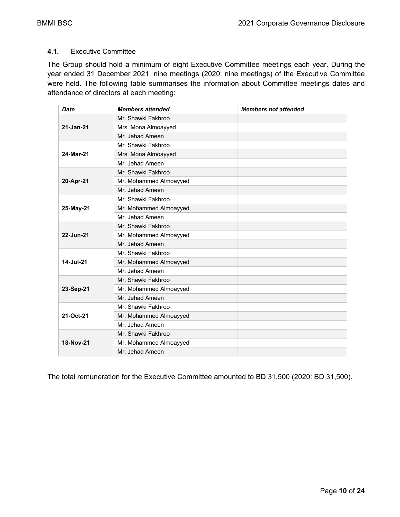#### **4.1.** Executive Committee

The Group should hold a minimum of eight Executive Committee meetings each year. During the year ended 31 December 2021, nine meetings (2020: nine meetings) of the Executive Committee were held. The following table summarises the information about Committee meetings dates and attendance of directors at each meeting:

| <b>Date</b> | <b>Members attended</b> | <b>Members not attended</b> |
|-------------|-------------------------|-----------------------------|
|             | Mr. Shawki Fakhroo      |                             |
| 21-Jan-21   | Mrs. Mona Almoayyed     |                             |
|             | Mr. Jehad Ameen         |                             |
|             | Mr. Shawki Fakhroo      |                             |
| 24-Mar-21   | Mrs. Mona Almoayyed     |                             |
|             | Mr. Jehad Ameen         |                             |
|             | Mr. Shawki Fakhroo      |                             |
| 20-Apr-21   | Mr. Mohammed Almoayyed  |                             |
|             | Mr. Jehad Ameen         |                             |
|             | Mr. Shawki Fakhroo      |                             |
| 25-May-21   | Mr. Mohammed Almoayyed  |                             |
|             | Mr. Jehad Ameen         |                             |
|             | Mr. Shawki Fakhroo      |                             |
| 22-Jun-21   | Mr. Mohammed Almoayyed  |                             |
|             | Mr. Jehad Ameen         |                             |
|             | Mr. Shawki Fakhroo      |                             |
| 14-Jul-21   | Mr. Mohammed Almoayyed  |                             |
|             | Mr. Jehad Ameen         |                             |
|             | Mr. Shawki Fakhroo      |                             |
| 23-Sep-21   | Mr. Mohammed Almoayyed  |                             |
|             | Mr. Jehad Ameen         |                             |
|             | Mr. Shawki Fakhroo      |                             |
| 21-Oct-21   | Mr. Mohammed Almoayyed  |                             |
|             | Mr. Jehad Ameen         |                             |
|             | Mr. Shawki Fakhroo      |                             |
| 18-Nov-21   | Mr. Mohammed Almoayyed  |                             |
|             | Mr. Jehad Ameen         |                             |

The total remuneration for the Executive Committee amounted to BD 31,500 (2020: BD 31,500).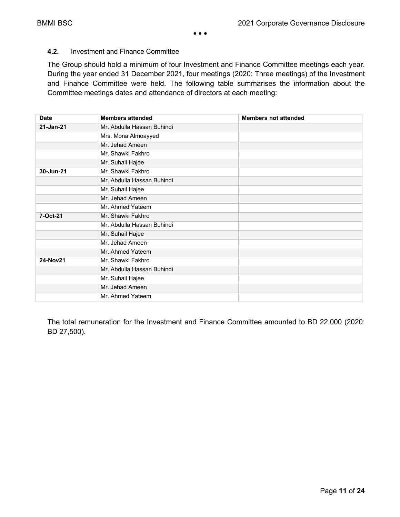#### **4.2.** Investment and Finance Committee

The Group should hold a minimum of four Investment and Finance Committee meetings each year. During the year ended 31 December 2021, four meetings (2020: Three meetings) of the Investment and Finance Committee were held. The following table summarises the information about the Committee meetings dates and attendance of directors at each meeting:

| <b>Date</b> | <b>Members attended</b>    | <b>Members not attended</b> |
|-------------|----------------------------|-----------------------------|
| 21-Jan-21   | Mr. Abdulla Hassan Buhindi |                             |
|             | Mrs. Mona Almoayyed        |                             |
|             | Mr. Jehad Ameen            |                             |
|             | Mr. Shawki Fakhro          |                             |
|             | Mr. Suhail Hajee           |                             |
| 30-Jun-21   | Mr. Shawki Fakhro          |                             |
|             | Mr. Abdulla Hassan Buhindi |                             |
|             | Mr. Suhail Hajee           |                             |
|             | Mr. Jehad Ameen            |                             |
|             | Mr. Ahmed Yateem           |                             |
| 7-Oct-21    | Mr. Shawki Fakhro          |                             |
|             | Mr. Abdulla Hassan Buhindi |                             |
|             | Mr. Suhail Hajee           |                             |
|             | Mr. Jehad Ameen            |                             |
|             | Mr. Ahmed Yateem           |                             |
| 24-Nov21    | Mr. Shawki Fakhro          |                             |
|             | Mr. Abdulla Hassan Buhindi |                             |
|             | Mr. Suhail Hajee           |                             |
|             | Mr. Jehad Ameen            |                             |
|             | Mr. Ahmed Yateem           |                             |

The total remuneration for the Investment and Finance Committee amounted to BD 22,000 (2020: BD 27,500).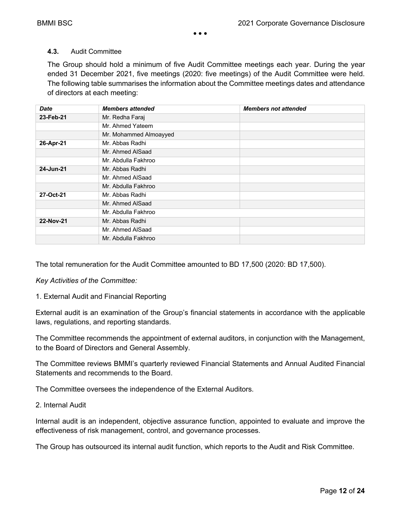#### **4.3.** Audit Committee

The Group should hold a minimum of five Audit Committee meetings each year. During the year ended 31 December 2021, five meetings (2020: five meetings) of the Audit Committee were held. The following table summarises the information about the Committee meetings dates and attendance of directors at each meeting:

| <b>Date</b> | <b>Members attended</b> | <b>Members not attended</b> |
|-------------|-------------------------|-----------------------------|
| 23-Feb-21   | Mr. Redha Faraj         |                             |
|             | Mr. Ahmed Yateem        |                             |
|             | Mr. Mohammed Almoayyed  |                             |
| 26-Apr-21   | Mr. Abbas Radhi         |                             |
|             | Mr. Ahmed AlSaad        |                             |
|             | Mr. Abdulla Fakhroo     |                             |
| 24-Jun-21   | Mr. Abbas Radhi         |                             |
|             | Mr. Ahmed AlSaad        |                             |
|             | Mr. Abdulla Fakhroo     |                             |
| 27-Oct-21   | Mr. Abbas Radhi         |                             |
|             | Mr. Ahmed AlSaad        |                             |
|             | Mr. Abdulla Fakhroo     |                             |
| 22-Nov-21   | Mr. Abbas Radhi         |                             |
|             | Mr. Ahmed AlSaad        |                             |
|             | Mr. Abdulla Fakhroo     |                             |

The total remuneration for the Audit Committee amounted to BD 17,500 (2020: BD 17,500).

*Key Activities of the Committee:* 

1. External Audit and Financial Reporting

External audit is an examination of the Group's financial statements in accordance with the applicable laws, regulations, and reporting standards.

The Committee recommends the appointment of external auditors, in conjunction with the Management, to the Board of Directors and General Assembly.

The Committee reviews BMMI's quarterly reviewed Financial Statements and Annual Audited Financial Statements and recommends to the Board.

The Committee oversees the independence of the External Auditors.

#### 2. Internal Audit

Internal audit is an independent, objective assurance function, appointed to evaluate and improve the effectiveness of risk management, control, and governance processes.

The Group has outsourced its internal audit function, which reports to the Audit and Risk Committee.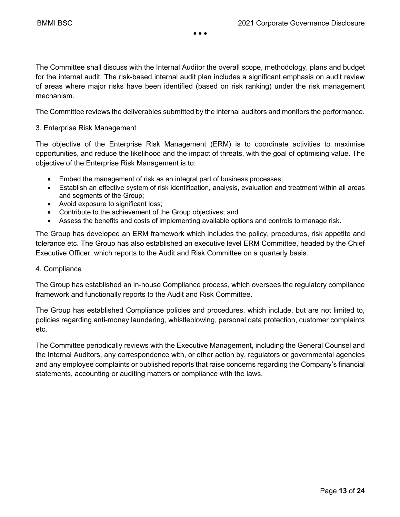The Committee shall discuss with the Internal Auditor the overall scope, methodology, plans and budget for the internal audit. The risk-based internal audit plan includes a significant emphasis on audit review of areas where major risks have been identified (based on risk ranking) under the risk management mechanism.

The Committee reviews the deliverables submitted by the internal auditors and monitors the performance.

#### 3. Enterprise Risk Management

The objective of the Enterprise Risk Management (ERM) is to coordinate activities to maximise opportunities, and reduce the likelihood and the impact of threats, with the goal of optimising value. The objective of the Enterprise Risk Management is to:

- Embed the management of risk as an integral part of business processes;
- Establish an effective system of risk identification, analysis, evaluation and treatment within all areas and segments of the Group;
- Avoid exposure to significant loss;
- Contribute to the achievement of the Group objectives; and
- Assess the benefits and costs of implementing available options and controls to manage risk.

The Group has developed an ERM framework which includes the policy, procedures, risk appetite and tolerance etc. The Group has also established an executive level ERM Committee, headed by the Chief Executive Officer, which reports to the Audit and Risk Committee on a quarterly basis.

#### 4. Compliance

The Group has established an in-house Compliance process, which oversees the regulatory compliance framework and functionally reports to the Audit and Risk Committee.

The Group has established Compliance policies and procedures, which include, but are not limited to, policies regarding anti-money laundering, whistleblowing, personal data protection, customer complaints etc.

The Committee periodically reviews with the Executive Management, including the General Counsel and the Internal Auditors, any correspondence with, or other action by, regulators or governmental agencies and any employee complaints or published reports that raise concerns regarding the Company's financial statements, accounting or auditing matters or compliance with the laws.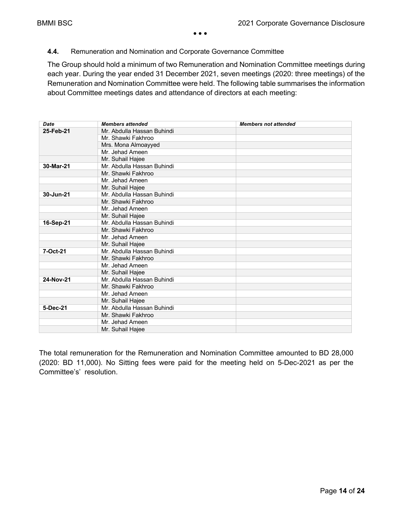#### **4.4.** Remuneration and Nomination and Corporate Governance Committee

The Group should hold a minimum of two Remuneration and Nomination Committee meetings during each year. During the year ended 31 December 2021, seven meetings (2020: three meetings) of the Remuneration and Nomination Committee were held. The following table summarises the information about Committee meetings dates and attendance of directors at each meeting:

| <b>Date</b> | <b>Members attended</b>    | <b>Members not attended</b> |
|-------------|----------------------------|-----------------------------|
| 25-Feb-21   | Mr. Abdulla Hassan Buhindi |                             |
|             | Mr. Shawki Fakhroo         |                             |
|             | Mrs. Mona Almoayyed        |                             |
|             | Mr. Jehad Ameen            |                             |
|             | Mr. Suhail Hajee           |                             |
| 30-Mar-21   | Mr. Abdulla Hassan Buhindi |                             |
|             | Mr. Shawki Fakhroo         |                             |
|             | Mr. Jehad Ameen            |                             |
|             | Mr. Suhail Hajee           |                             |
| 30-Jun-21   | Mr. Abdulla Hassan Buhindi |                             |
|             | Mr. Shawki Fakhroo         |                             |
|             | Mr. Jehad Ameen            |                             |
|             | Mr. Suhail Hajee           |                             |
| 16-Sep-21   | Mr. Abdulla Hassan Buhindi |                             |
|             | Mr. Shawki Fakhroo         |                             |
|             | Mr. Jehad Ameen            |                             |
|             | Mr. Suhail Hajee           |                             |
| 7-Oct-21    | Mr. Abdulla Hassan Buhindi |                             |
|             | Mr. Shawki Fakhroo         |                             |
|             | Mr. Jehad Ameen            |                             |
|             | Mr. Suhail Hajee           |                             |
| 24-Nov-21   | Mr. Abdulla Hassan Buhindi |                             |
|             | Mr. Shawki Fakhroo         |                             |
|             | Mr. Jehad Ameen            |                             |
|             | Mr. Suhail Hajee           |                             |
| 5-Dec-21    | Mr. Abdulla Hassan Buhindi |                             |
|             | Mr. Shawki Fakhroo         |                             |
|             | Mr. Jehad Ameen            |                             |
|             | Mr. Suhail Hajee           |                             |

The total remuneration for the Remuneration and Nomination Committee amounted to BD 28,000 (2020: BD 11,000). No Sitting fees were paid for the meeting held on 5-Dec-2021 as per the Committee's' resolution.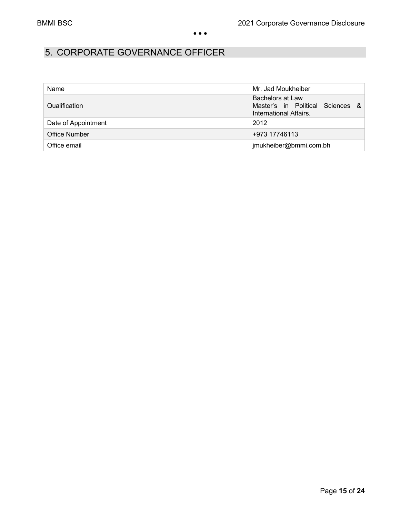# 5. CORPORATE GOVERNANCE OFFICER

| Name                 | Mr. Jad Moukheiber                                                                            |
|----------------------|-----------------------------------------------------------------------------------------------|
| Qualification        | Bachelors at Law<br>Master's in Political Sciences<br>$\mathcal{R}$<br>International Affairs. |
| Date of Appointment  | 2012                                                                                          |
| <b>Office Number</b> | +973 17746113                                                                                 |
| Office email         | jmukheiber@bmmi.com.bh                                                                        |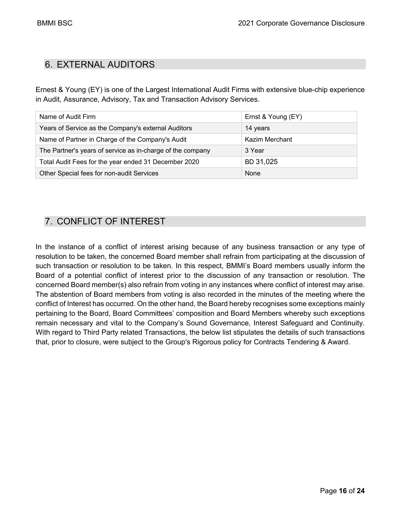# 6. EXTERNAL AUDITORS

Ernest & Young (EY) is one of the Largest International Audit Firms with extensive blue-chip experience in Audit, Assurance, Advisory, Tax and Transaction Advisory Services.

| Name of Audit Firm                                         | Ernst & Young (EY) |
|------------------------------------------------------------|--------------------|
| Years of Service as the Company's external Auditors        | 14 years           |
| Name of Partner in Charge of the Company's Audit           | Kazim Merchant     |
| The Partner's years of service as in-charge of the company | 3 Year             |
| Total Audit Fees for the year ended 31 December 2020       | BD 31,025          |
| Other Special fees for non-audit Services                  | None               |

# 7. CONFLICT OF INTEREST

In the instance of a conflict of interest arising because of any business transaction or any type of resolution to be taken, the concerned Board member shall refrain from participating at the discussion of such transaction or resolution to be taken. In this respect, BMMI's Board members usually inform the Board of a potential conflict of interest prior to the discussion of any transaction or resolution. The concerned Board member(s) also refrain from voting in any instances where conflict of interest may arise. The abstention of Board members from voting is also recorded in the minutes of the meeting where the conflict of Interest has occurred. On the other hand, the Board hereby recognises some exceptions mainly pertaining to the Board, Board Committees' composition and Board Members whereby such exceptions remain necessary and vital to the Company's Sound Governance, Interest Safeguard and Continuity. With regard to Third Party related Transactions, the below list stipulates the details of such transactions that, prior to closure, were subject to the Group's Rigorous policy for Contracts Tendering & Award.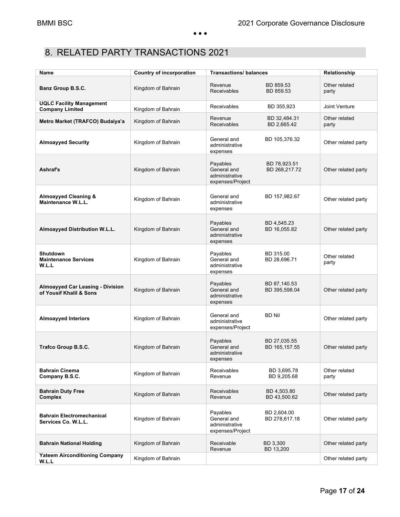# 8. RELATED PARTY TRANSACTIONS 2021

| Name                                                               | <b>Country of incorporation</b> | <b>Transactions/balances</b>                                  | Relationship                  |                        |
|--------------------------------------------------------------------|---------------------------------|---------------------------------------------------------------|-------------------------------|------------------------|
| Banz Group B.S.C.                                                  | Kingdom of Bahrain              | Revenue<br><b>Receivables</b>                                 | BD 859.53<br>BD 859.53        | Other related<br>party |
| <b>UQLC Facility Management</b><br><b>Company Limited</b>          | Kingdom of Bahrain              | Receivables                                                   | BD 355,923                    | Joint Venture          |
| Metro Market (TRAFCO) Budaiya'a                                    | Kingdom of Bahrain              | Revenue<br>Receivables                                        | BD 32,484.31<br>BD 2,665.42   | Other related<br>party |
| <b>Almoayyed Security</b>                                          | Kingdom of Bahrain              | General and<br>administrative<br>expenses                     | BD 105,376.32                 | Other related party    |
| <b>Ashraf's</b>                                                    | Kingdom of Bahrain              | Payables<br>General and<br>administrative<br>expenses/Project | BD 78,923.51<br>BD 268,217.72 | Other related party    |
| <b>Almoayyed Cleaning &amp;</b><br>Maintenance W.L.L.              | Kingdom of Bahrain              | General and<br>administrative<br>expenses                     | BD 157,982.67                 | Other related party    |
| Almoayyed Distribution W.L.L.                                      | Kingdom of Bahrain              | Payables<br>General and<br>administrative<br>expenses         | BD 4,545.23<br>BD 16,055.82   | Other related party    |
| <b>Shutdown</b><br><b>Maintenance Services</b><br>W.L.L            | Kingdom of Bahrain              | Payables<br>General and<br>administrative<br>expenses         | BD 315.00<br>BD 28,696.71     | Other related<br>party |
| <b>Almoayyed Car Leasing - Division</b><br>of Yousif Khalil & Sons | Kingdom of Bahrain              | Payables<br>General and<br>administrative<br>expenses         | BD 87,140.53<br>BD 395,598.04 | Other related party    |
| <b>Almoayyed Interiors</b>                                         | Kingdom of Bahrain              | General and<br>administrative<br>expenses/Project             | <b>BD Nil</b>                 | Other related party    |
| Trafco Group B.S.C.                                                | Kingdom of Bahrain              | Payables<br>General and<br>administrative<br>expenses         | BD 27,035.55<br>BD 165,157.55 | Other related party    |
| <b>Bahrain Cinema</b><br>Company B.S.C.                            | Kingdom of Bahrain              | Receivables<br>Revenue                                        | BD 3,695.78<br>BD 9,205.68    | Other related<br>party |
| <b>Bahrain Duty Free</b><br><b>Complex</b>                         | Kingdom of Bahrain              | <b>Receivables</b><br>Revenue                                 | BD 4.503.80<br>BD 43,500.62   | Other related party    |
| <b>Bahrain Electromechanical</b><br>Services Co. W.L.L.            | Kingdom of Bahrain              | Payables<br>General and<br>administrative<br>expenses/Project | BD 2,604.00<br>BD 278,617.18  | Other related party    |
| <b>Bahrain National Holding</b>                                    | Kingdom of Bahrain              | Receivable<br>Revenue                                         | BD 3,300<br>BD 13,200         | Other related party    |
| <b>Yateem Airconditioning Company</b><br>W.L.L                     | Kingdom of Bahrain              |                                                               |                               | Other related party    |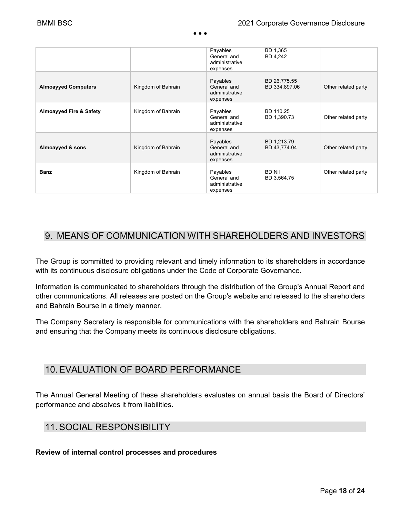|                                    |                    | Payables<br>General and<br>administrative<br>expenses | BD 1,365<br>BD 4,242          |                     |
|------------------------------------|--------------------|-------------------------------------------------------|-------------------------------|---------------------|
| <b>Almoayyed Computers</b>         | Kingdom of Bahrain | Payables<br>General and<br>administrative<br>expenses | BD 26,775.55<br>BD 334,897.06 | Other related party |
| <b>Almoayyed Fire &amp; Safety</b> | Kingdom of Bahrain | Payables<br>General and<br>administrative<br>expenses | BD 110.25<br>BD 1,390.73      | Other related party |
| Almoayyed & sons                   | Kingdom of Bahrain | Payables<br>General and<br>administrative<br>expenses | BD 1,213.79<br>BD 43,774.04   | Other related party |
| <b>Banz</b>                        | Kingdom of Bahrain | Payables<br>General and<br>administrative<br>expenses | <b>BD Nil</b><br>BD 3,564.75  | Other related party |

### 9. MEANS OF COMMUNICATION WITH SHAREHOLDERS AND INVESTORS

The Group is committed to providing relevant and timely information to its shareholders in accordance with its continuous disclosure obligations under the Code of Corporate Governance.

Information is communicated to shareholders through the distribution of the Group's Annual Report and other communications. All releases are posted on the Group's website and released to the shareholders and Bahrain Bourse in a timely manner.

The Company Secretary is responsible for communications with the shareholders and Bahrain Bourse and ensuring that the Company meets its continuous disclosure obligations.

### 10.EVALUATION OF BOARD PERFORMANCE

The Annual General Meeting of these shareholders evaluates on annual basis the Board of Directors' performance and absolves it from liabilities.

### 11.SOCIAL RESPONSIBILITY

**Review of internal control processes and procedures**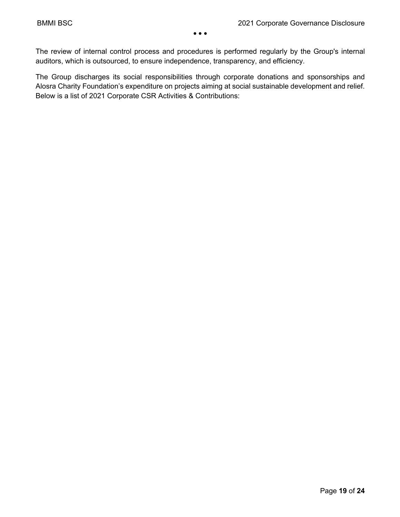The review of internal control process and procedures is performed regularly by the Group's internal auditors, which is outsourced, to ensure independence, transparency, and efficiency.

The Group discharges its social responsibilities through corporate donations and sponsorships and Alosra Charity Foundation's expenditure on projects aiming at social sustainable development and relief. Below is a list of 2021 Corporate CSR Activities & Contributions: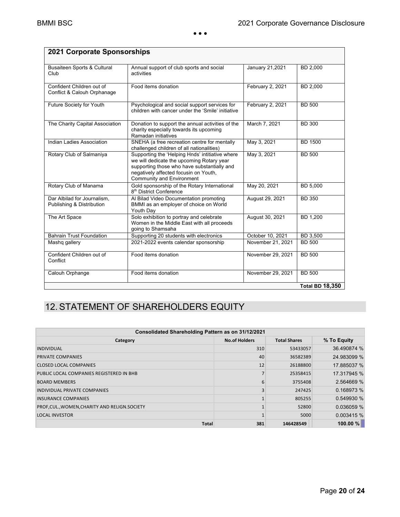| 2021 Corporate Sponsorships                              |                                                                                                                                                                                                                   |                   |                        |
|----------------------------------------------------------|-------------------------------------------------------------------------------------------------------------------------------------------------------------------------------------------------------------------|-------------------|------------------------|
| <b>Busaiteen Sports &amp; Cultural</b><br>Club           | Annual support of club sports and social<br>activities                                                                                                                                                            | January 21,2021   | BD 2,000               |
| Confident Children out of<br>Conflict & Calouh Orphanage | Food items donation                                                                                                                                                                                               | February 2, 2021  | BD 2,000               |
| Future Society for Youth                                 | Psychological and social support services for<br>children with cancer under the 'Smile' initiative                                                                                                                | February 2, 2021  | <b>BD 500</b>          |
| The Charity Capital Association                          | Donation to support the annual activities of the<br>charity especially towards its upcoming<br>Ramadan initiatives                                                                                                | March 7, 2021     | <b>BD 300</b>          |
| Indian Ladies Association                                | SNEHA (a free recreation centre for mentally<br>challenged children of all nationalities)                                                                                                                         | May 3, 2021       | <b>BD 1500</b>         |
| Rotary Club of Salmaniya                                 | Supporting the 'Helping Hnds' intitiative where<br>we will dedicate the upcoming Rotary year<br>supporting those who have substantially and<br>negatively affected focusin on Youth,<br>Community and Environment | May 3, 2021       | <b>BD 500</b>          |
| Rotary Club of Manama                                    | Gold sponsorship of the Rotary International<br>8 <sup>th</sup> District Conference                                                                                                                               | May 20, 2021      | <b>BD 5.000</b>        |
| Dar Albilad for Journalism.<br>Publishing & Distribution | Al Bilad Video Documentation promoting<br>BMMI as an employer of choice on World<br>Youth Day                                                                                                                     | August 29, 2021   | <b>BD 350</b>          |
| The Art Space                                            | Solo exhibition to portray and celebrate<br>Women in the Middle East with all proceeds<br>going to Shamsaha                                                                                                       | August 30, 2021   | BD 1,200               |
| <b>Bahrain Trust Foundation</b>                          | Supporting 20 students with electronics                                                                                                                                                                           | October 10, 2021  | BD 3,500               |
| Mashq gallery                                            | 2021-2022 events calendar sponsorship                                                                                                                                                                             | November 21, 2021 | <b>BD 500</b>          |
| Confident Children out of<br>Conflict                    | Food items donation                                                                                                                                                                                               | November 29, 2021 | <b>BD 500</b>          |
| Calouh Orphange                                          | Food items donation                                                                                                                                                                                               | November 29, 2021 | <b>BD 500</b>          |
|                                                          |                                                                                                                                                                                                                   |                   | <b>Total BD 18,350</b> |

# 12.STATEMENT OF SHAREHOLDERS EQUITY

| Consolidated Shareholding Pattern as on 31/12/2021                     |     |           |             |  |  |  |  |  |
|------------------------------------------------------------------------|-----|-----------|-------------|--|--|--|--|--|
| % To Equity<br><b>No.of Holders</b><br><b>Total Shares</b><br>Category |     |           |             |  |  |  |  |  |
| <b>INDIVIDUAL</b>                                                      | 310 | 53433057  | 36.490874 % |  |  |  |  |  |
| <b>PRIVATE COMPANIES</b>                                               | 40  | 36582389  | 24.983099 % |  |  |  |  |  |
| <b>CLOSED LOCAL COMPANIES</b>                                          | 12  | 26188800  | 17.885037 % |  |  |  |  |  |
| PUBLIC LOCAL COMPANIES REGISTERED IN BHB                               |     | 25358415  | 17.317945 % |  |  |  |  |  |
| <b>BOARD MEMBERS</b>                                                   |     | 3755408   | 2.564669 %  |  |  |  |  |  |
| <b>INDIVIDUAL PRIVATE COMPANIES</b>                                    |     | 247425    | 0.168973 %  |  |  |  |  |  |
| <b>INSURANCE COMPANIES</b>                                             |     | 805255    | 0.549930 %  |  |  |  |  |  |
| PROF, CUL., WOMEN, CHARITY AND RELIGN. SOCIETY                         |     | 52800     | 0.036059 %  |  |  |  |  |  |
| <b>LOCAL INVESTOR</b>                                                  |     | 5000      | 0.003415 %  |  |  |  |  |  |
| <b>Total</b>                                                           | 381 | 146428549 | $100.00 \%$ |  |  |  |  |  |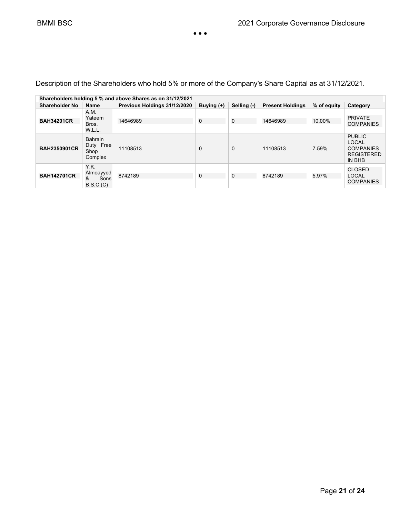| Shareholders holding 5 % and above Shares as on 31/12/2021 |                                                |                              |              |             |                         |             |                                                                                  |
|------------------------------------------------------------|------------------------------------------------|------------------------------|--------------|-------------|-------------------------|-------------|----------------------------------------------------------------------------------|
| <b>Shareholder No</b>                                      | <b>Name</b>                                    | Previous Holdings 31/12/2020 | Buying $(+)$ | Selling (-) | <b>Present Holdings</b> | % of equity | Category                                                                         |
| <b>BAH34201CR</b>                                          | A.M.<br>Yateem<br>Bros.<br>W.L.L.              | 14646989                     | $\mathbf 0$  | 0           | 14646989                | 10.00%      | <b>PRIVATE</b><br><b>COMPANIES</b>                                               |
| <b>BAH2350901CR</b>                                        | <b>Bahrain</b><br>Duty Free<br>Shop<br>Complex | 11108513                     | $\Omega$     | $\mathbf 0$ | 11108513                | 7.59%       | <b>PUBLIC</b><br><b>LOCAL</b><br><b>COMPANIES</b><br><b>REGISTERED</b><br>IN BHB |
| <b>BAH142701CR</b>                                         | Y.K.<br>Almoayyed<br>Sons<br>&<br>B.S.C.(C)    | 8742189                      | $\mathbf 0$  | 0           | 8742189                 | 5.97%       | <b>CLOSED</b><br><b>LOCAL</b><br><b>COMPANIES</b>                                |

Description of the Shareholders who hold 5% or more of the Company's Share Capital as at 31/12/2021.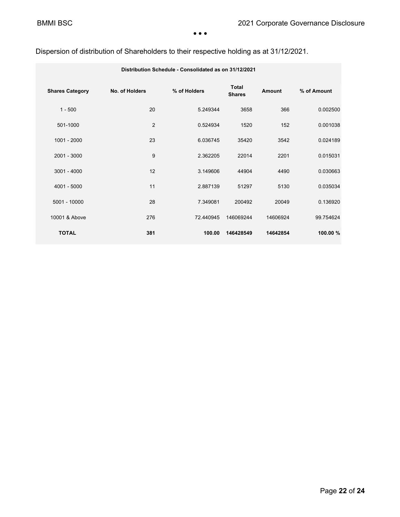### Dispersion of distribution of Shareholders to their respective holding as at 31/12/2021.

| Distribution Schedule - Consolidated as on 31/12/2021 |                |              |                               |          |             |  |
|-------------------------------------------------------|----------------|--------------|-------------------------------|----------|-------------|--|
| <b>Shares Category</b>                                | No. of Holders | % of Holders | <b>Total</b><br><b>Shares</b> | Amount   | % of Amount |  |
| $1 - 500$                                             | 20             | 5.249344     | 3658                          | 366      | 0.002500    |  |
| 501-1000                                              | 2              | 0.524934     | 1520                          | 152      | 0.001038    |  |
| $1001 - 2000$                                         | 23             | 6.036745     | 35420                         | 3542     | 0.024189    |  |
| $2001 - 3000$                                         | 9              | 2.362205     | 22014                         | 2201     | 0.015031    |  |
| $3001 - 4000$                                         | 12             | 3.149606     | 44904                         | 4490     | 0.030663    |  |
| 4001 - 5000                                           | 11             | 2.887139     | 51297                         | 5130     | 0.035034    |  |
| 5001 - 10000                                          | 28             | 7.349081     | 200492                        | 20049    | 0.136920    |  |
| 10001 & Above                                         | 276            | 72.440945    | 146069244                     | 14606924 | 99.754624   |  |
| <b>TOTAL</b>                                          | 381            | 100.00       | 146428549                     | 14642854 | 100.00 %    |  |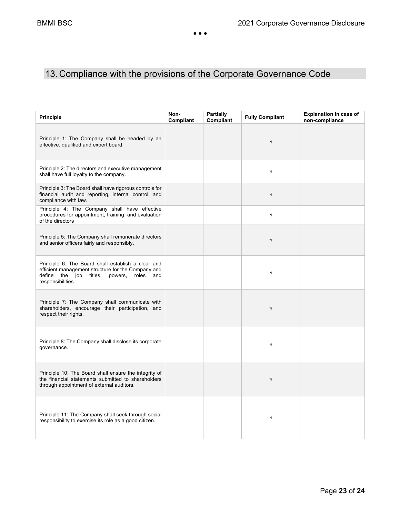# 13. Compliance with the provisions of the Corporate Governance Code

| <b>Principle</b>                                                                                                                                                                   | Non-<br>Compliant | <b>Partially</b><br>Compliant | <b>Fully Compliant</b> | <b>Explanation in case of</b><br>non-compliance |
|------------------------------------------------------------------------------------------------------------------------------------------------------------------------------------|-------------------|-------------------------------|------------------------|-------------------------------------------------|
| Principle 1: The Company shall be headed by an<br>effective, qualified and expert board.                                                                                           |                   |                               | $\sqrt{}$              |                                                 |
| Principle 2: The directors and executive management<br>shall have full loyalty to the company.                                                                                     |                   |                               | $\sqrt{}$              |                                                 |
| Principle 3: The Board shall have rigorous controls for<br>financial audit and reporting, internal control, and<br>compliance with law.                                            |                   |                               | $\sqrt{}$              |                                                 |
| Principle 4: The Company shall have effective<br>procedures for appointment, training, and evaluation<br>of the directors                                                          |                   |                               | $\sqrt{}$              |                                                 |
| Principle 5: The Company shall remunerate directors<br>and senior officers fairly and responsibly.                                                                                 |                   |                               | $\sqrt{}$              |                                                 |
| Principle 6: The Board shall establish a clear and<br>efficient management structure for the Company and<br>define the job titles,<br>powers,<br>roles<br>and<br>responsibilities. |                   |                               | $\sqrt{}$              |                                                 |
| Principle 7: The Company shall communicate with<br>shareholders, encourage their participation, and<br>respect their rights.                                                       |                   |                               | $\sqrt{}$              |                                                 |
| Principle 8: The Company shall disclose its corporate<br>governance.                                                                                                               |                   |                               | $\sqrt{}$              |                                                 |
| Principle 10: The Board shall ensure the integrity of<br>the financial statements submitted to shareholders<br>through appointment of external auditors.                           |                   |                               | $\sqrt{ }$             |                                                 |
| Principle 11: The Company shall seek through social<br>responsibility to exercise its role as a good citizen.                                                                      |                   |                               | $\sqrt{}$              |                                                 |